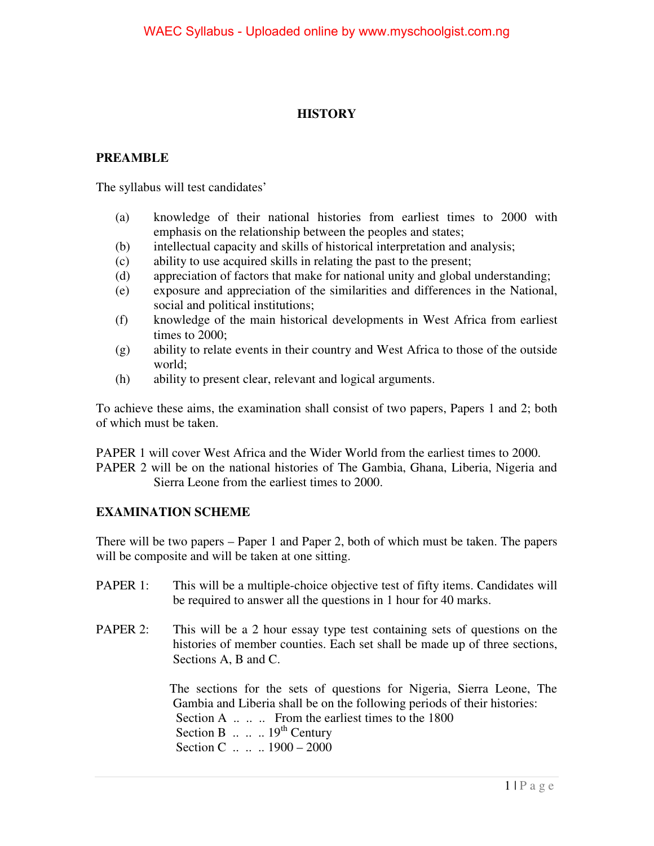## **HISTORY**

## **PREAMBLE**

The syllabus will test candidates'

- (a) knowledge of their national histories from earliest times to 2000 with emphasis on the relationship between the peoples and states;
- (b) intellectual capacity and skills of historical interpretation and analysis;
- (c) ability to use acquired skills in relating the past to the present;
- (d) appreciation of factors that make for national unity and global understanding;
- (e) exposure and appreciation of the similarities and differences in the National, social and political institutions;
- (f) knowledge of the main historical developments in West Africa from earliest times to 2000;
- (g) ability to relate events in their country and West Africa to those of the outside world;
- (h) ability to present clear, relevant and logical arguments.

To achieve these aims, the examination shall consist of two papers, Papers 1 and 2; both of which must be taken.

PAPER 1 will cover West Africa and the Wider World from the earliest times to 2000. PAPER 2 will be on the national histories of The Gambia, Ghana, Liberia, Nigeria and Sierra Leone from the earliest times to 2000.

## **EXAMINATION SCHEME**

There will be two papers – Paper 1 and Paper 2, both of which must be taken. The papers will be composite and will be taken at one sitting.

- PAPER 1: This will be a multiple-choice objective test of fifty items. Candidates will be required to answer all the questions in 1 hour for 40 marks.
- PAPER 2: This will be a 2 hour essay type test containing sets of questions on the histories of member counties. Each set shall be made up of three sections, Sections A, B and C.

 The sections for the sets of questions for Nigeria, Sierra Leone, The Gambia and Liberia shall be on the following periods of their histories: Section A  $\ldots$   $\ldots$  From the earliest times to the 1800 Section B  $\ldots$   $\ldots$  19<sup>th</sup> Century Section C ... .. 1900 – 2000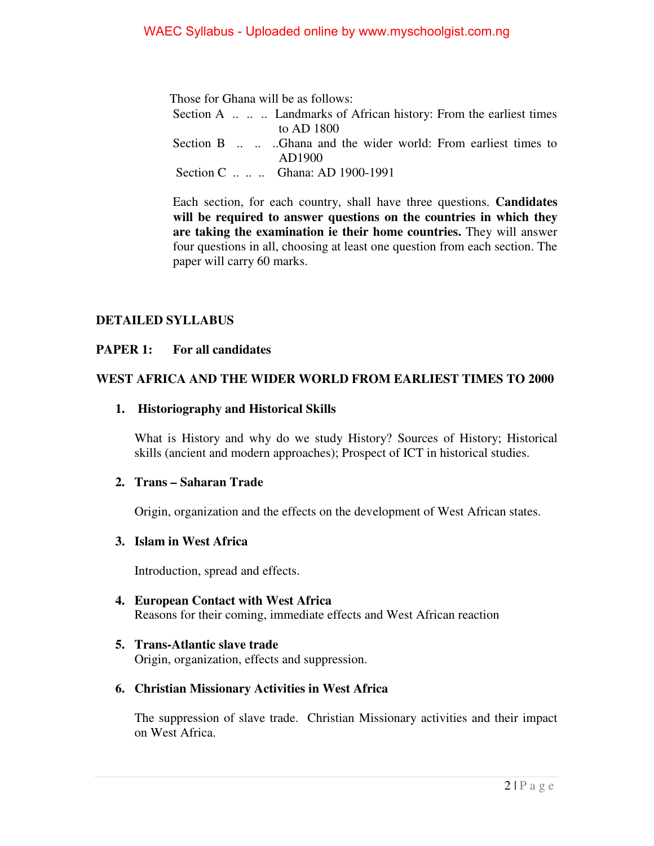Those for Ghana will be as follows: Section A ... .. Landmarks of African history: From the earliest times to AD 1800 Section B ... ... ..Ghana and the wider world: From earliest times to AD1900 Section C .. .. .. Ghana: AD 1900-1991

 Each section, for each country, shall have three questions. **Candidates will be required to answer questions on the countries in which they are taking the examination ie their home countries.** They will answer four questions in all, choosing at least one question from each section. The paper will carry 60 marks.

## **DETAILED SYLLABUS**

#### **PAPER 1: For all candidates**

## **WEST AFRICA AND THE WIDER WORLD FROM EARLIEST TIMES TO 2000**

#### **1. Historiography and Historical Skills**

What is History and why do we study History? Sources of History; Historical skills (ancient and modern approaches); Prospect of ICT in historical studies.

#### **2. Trans – Saharan Trade**

Origin, organization and the effects on the development of West African states.

#### **3. Islam in West Africa**

Introduction, spread and effects.

- **4. European Contact with West Africa**  Reasons for their coming, immediate effects and West African reaction
- **5. Trans-Atlantic slave trade**  Origin, organization, effects and suppression.

## **6. Christian Missionary Activities in West Africa**

The suppression of slave trade. Christian Missionary activities and their impact on West Africa.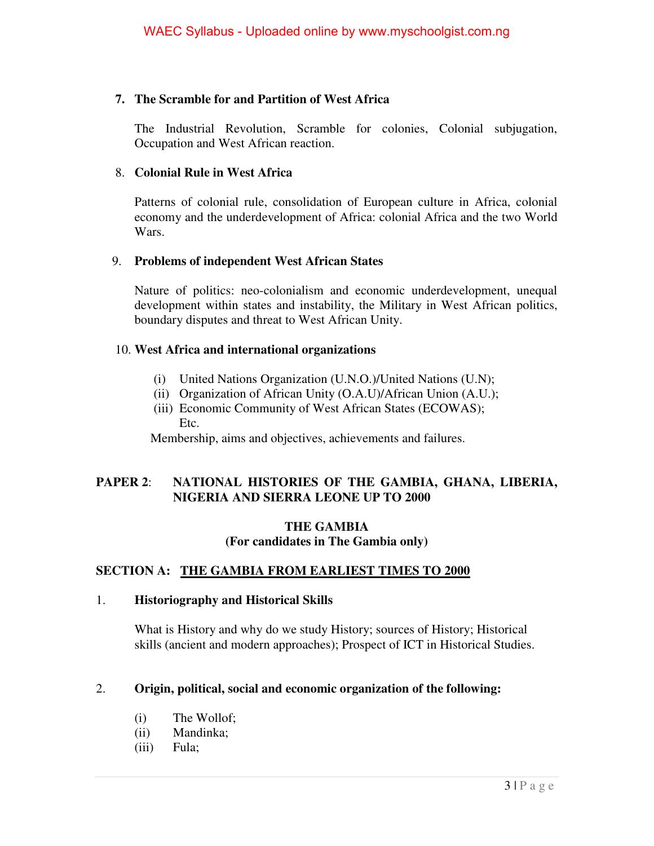## **7. The Scramble for and Partition of West Africa**

The Industrial Revolution, Scramble for colonies, Colonial subjugation, Occupation and West African reaction.

## 8. **Colonial Rule in West Africa**

Patterns of colonial rule, consolidation of European culture in Africa, colonial economy and the underdevelopment of Africa: colonial Africa and the two World Wars.

## 9. **Problems of independent West African States**

Nature of politics: neo-colonialism and economic underdevelopment, unequal development within states and instability, the Military in West African politics, boundary disputes and threat to West African Unity.

## 10. **West Africa and international organizations**

- (i) United Nations Organization (U.N.O.)/United Nations (U.N);
- (ii) Organization of African Unity (O.A.U)/African Union (A.U.);
- (iii) Economic Community of West African States (ECOWAS); Etc.

Membership, aims and objectives, achievements and failures.

## **PAPER 2**: **NATIONAL HISTORIES OF THE GAMBIA, GHANA, LIBERIA, NIGERIA AND SIERRA LEONE UP TO 2000**

## **THE GAMBIA (For candidates in The Gambia only)**

## **SECTION A: THE GAMBIA FROM EARLIEST TIMES TO 2000**

## 1. **Historiography and Historical Skills**

What is History and why do we study History; sources of History; Historical skills (ancient and modern approaches); Prospect of ICT in Historical Studies.

## 2. **Origin, political, social and economic organization of the following:**

- (i) The Wollof;
- (ii) Mandinka;
- (iii) Fula;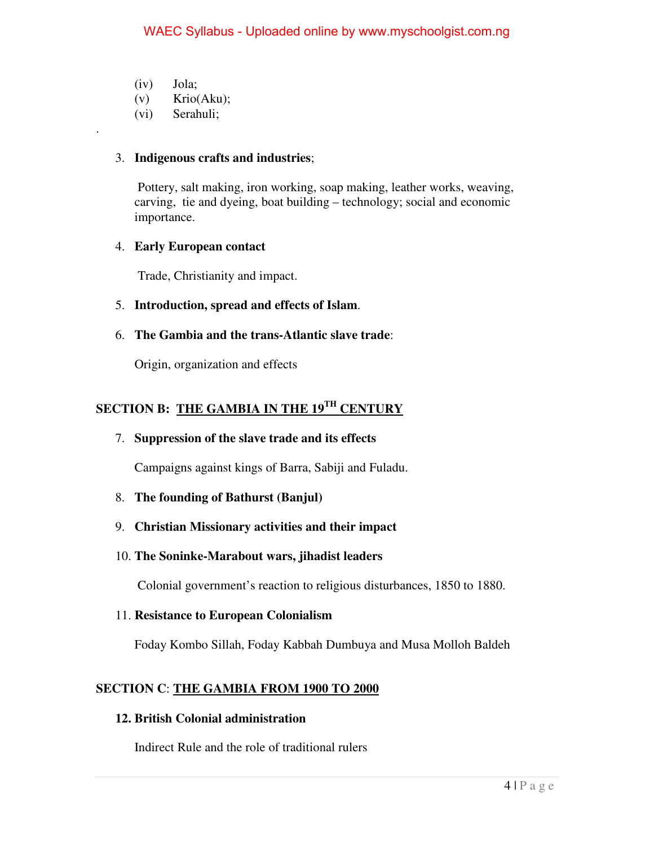(iv) Jola;

.

- (v) Krio(Aku);
- (vi) Serahuli;

#### 3. **Indigenous crafts and industries**;

 Pottery, salt making, iron working, soap making, leather works, weaving, carving, tie and dyeing, boat building – technology; social and economic importance.

#### 4. **Early European contact**

Trade, Christianity and impact.

## 5. **Introduction, spread and effects of Islam**.

6. **The Gambia and the trans-Atlantic slave trade**:

Origin, organization and effects

## **SECTION B: THE GAMBIA IN THE 19TH CENTURY**

7. **Suppression of the slave trade and its effects**

Campaigns against kings of Barra, Sabiji and Fuladu.

- 8. **The founding of Bathurst (Banjul)**
- 9. **Christian Missionary activities and their impact**
- 10. **The Soninke-Marabout wars, jihadist leaders**

Colonial government's reaction to religious disturbances, 1850 to 1880.

11. **Resistance to European Colonialism**

Foday Kombo Sillah, Foday Kabbah Dumbuya and Musa Molloh Baldeh

## **SECTION C**: **THE GAMBIA FROM 1900 TO 2000**

#### **12. British Colonial administration**

Indirect Rule and the role of traditional rulers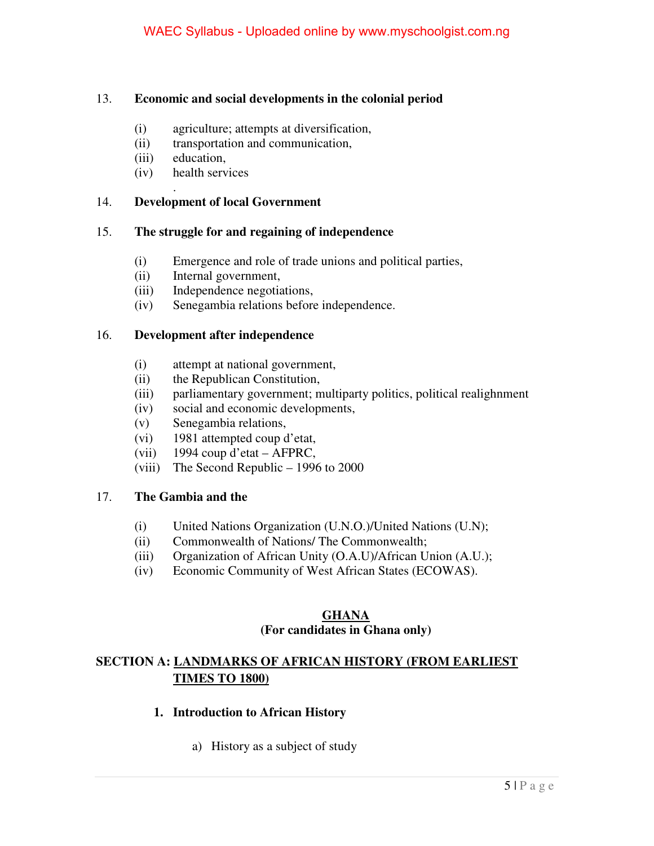## 13. **Economic and social developments in the colonial period**

- (i) agriculture; attempts at diversification,
- (ii) transportation and communication,
- (iii) education,

.

(iv) health services

## 14. **Development of local Government**

## 15. **The struggle for and regaining of independence**

- (i) Emergence and role of trade unions and political parties,
- (ii) Internal government,
- (iii) Independence negotiations,
- (iv) Senegambia relations before independence.

## 16. **Development after independence**

- (i) attempt at national government,
- (ii) the Republican Constitution,
- (iii) parliamentary government; multiparty politics, political realighnment
- (iv) social and economic developments,
- (v) Senegambia relations,
- (vi) 1981 attempted coup d'etat,
- (vii) 1994 coup d'etat AFPRC,
- (viii) The Second Republic 1996 to 2000

## 17. **The Gambia and the**

- (i) United Nations Organization (U.N.O.)/United Nations (U.N);
- (ii) Commonwealth of Nations/ The Commonwealth;
- (iii) Organization of African Unity (O.A.U)/African Union (A.U.);
- (iv) Economic Community of West African States (ECOWAS).

#### **GHANA (For candidates in Ghana only)**

## **SECTION A: LANDMARKS OF AFRICAN HISTORY (FROM EARLIEST TIMES TO 1800)**

## **1. Introduction to African History**

a) History as a subject of study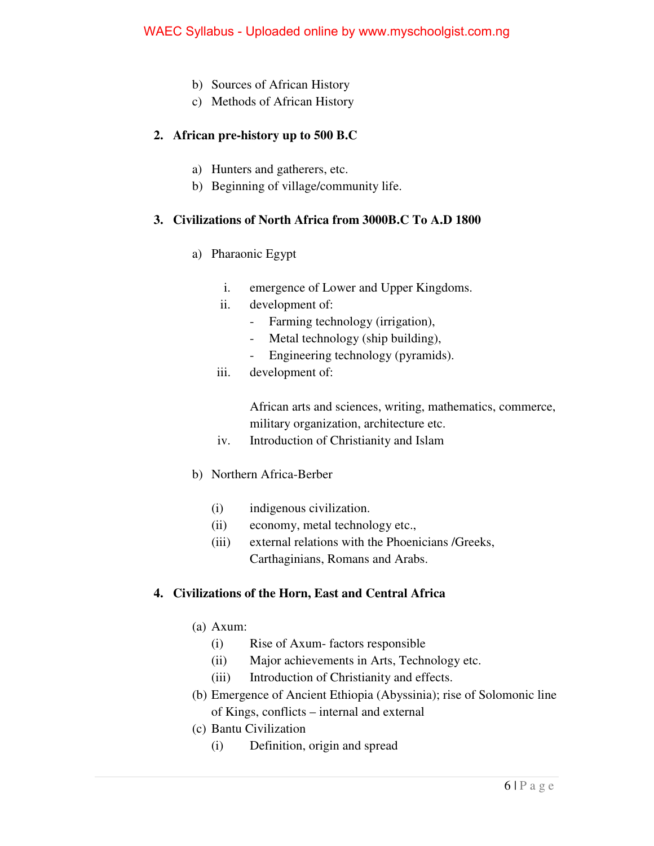- b) Sources of African History
- c) Methods of African History

## **2. African pre-history up to 500 B.C**

- a) Hunters and gatherers, etc.
- b) Beginning of village/community life.

## **3. Civilizations of North Africa from 3000B.C To A.D 1800**

- a) Pharaonic Egypt
	- i. emergence of Lower and Upper Kingdoms.
	- ii. development of:
		- Farming technology (irrigation),
		- Metal technology (ship building),
		- Engineering technology (pyramids).
	- iii. development of:

African arts and sciences, writing, mathematics, commerce, military organization, architecture etc.

- iv. Introduction of Christianity and Islam
- b) Northern Africa-Berber
	- (i) indigenous civilization.
	- (ii) economy, metal technology etc.,
	- (iii) external relations with the Phoenicians /Greeks, Carthaginians, Romans and Arabs.

## **4. Civilizations of the Horn, East and Central Africa**

- (a) Axum:
	- (i) Rise of Axum- factors responsible
	- (ii) Major achievements in Arts, Technology etc.
	- (iii) Introduction of Christianity and effects.
- (b) Emergence of Ancient Ethiopia (Abyssinia); rise of Solomonic line of Kings, conflicts – internal and external
- (c) Bantu Civilization
	- (i) Definition, origin and spread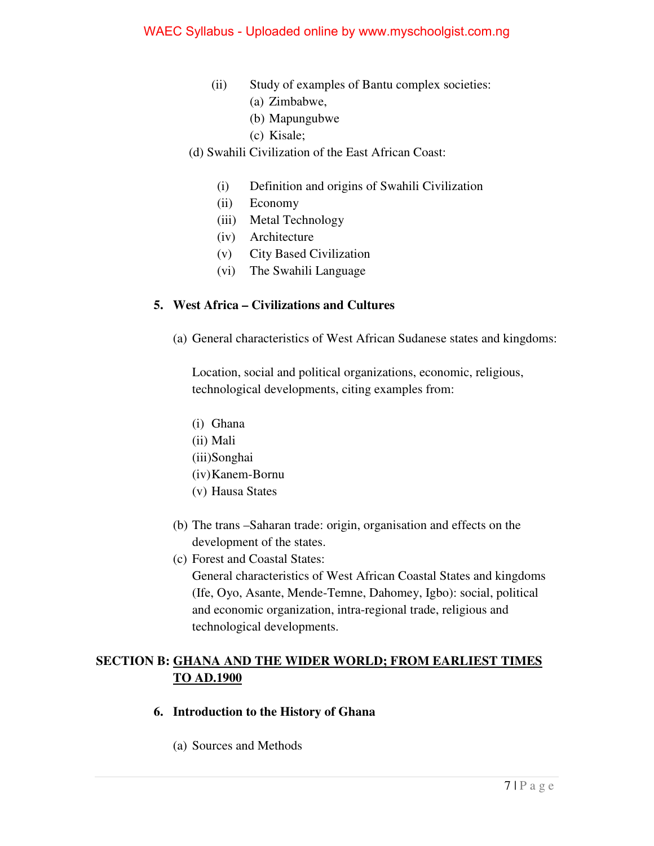- (ii) Study of examples of Bantu complex societies: (a) Zimbabwe,
	- (b) Mapungubwe
	- (c) Kisale;
- (d) Swahili Civilization of the East African Coast:
	- (i) Definition and origins of Swahili Civilization
	- (ii) Economy
	- (iii) Metal Technology
	- (iv) Architecture
	- (v) City Based Civilization
	- (vi) The Swahili Language

## **5. West Africa – Civilizations and Cultures**

(a) General characteristics of West African Sudanese states and kingdoms:

Location, social and political organizations, economic, religious, technological developments, citing examples from:

- (i) Ghana
- (ii) Mali
- (iii)Songhai
- (iv)Kanem-Bornu
- (v) Hausa States
- (b) The trans –Saharan trade: origin, organisation and effects on the development of the states.
- (c) Forest and Coastal States:

General characteristics of West African Coastal States and kingdoms (Ife, Oyo, Asante, Mende-Temne, Dahomey, Igbo): social, political and economic organization, intra-regional trade, religious and technological developments.

## **SECTION B: GHANA AND THE WIDER WORLD; FROM EARLIEST TIMES TO AD.1900**

- **6. Introduction to the History of Ghana** 
	- (a) Sources and Methods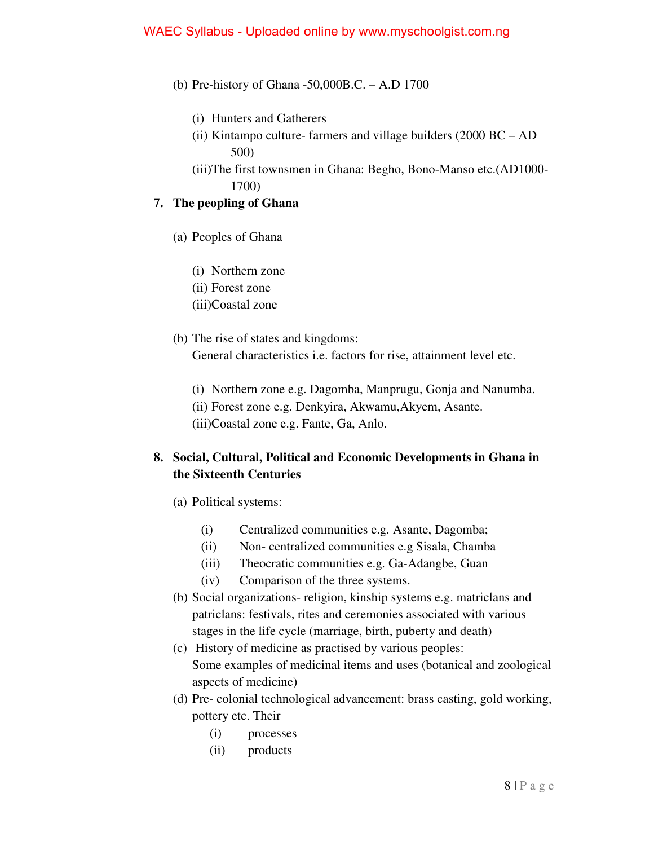- (b) Pre-history of Ghana -50,000B.C. A.D 1700
	- (i) Hunters and Gatherers
	- (ii) Kintampo culture- farmers and village builders (2000 BC AD 500)
	- (iii)The first townsmen in Ghana: Begho, Bono-Manso etc.(AD1000- 1700)

## **7. The peopling of Ghana**

- (a) Peoples of Ghana
	- (i) Northern zone
	- (ii) Forest zone
	- (iii)Coastal zone
- (b) The rise of states and kingdoms: General characteristics i.e. factors for rise, attainment level etc.
	- (i) Northern zone e.g. Dagomba, Manprugu, Gonja and Nanumba.
	- (ii) Forest zone e.g. Denkyira, Akwamu,Akyem, Asante.
	- (iii)Coastal zone e.g. Fante, Ga, Anlo.

## **8. Social, Cultural, Political and Economic Developments in Ghana in the Sixteenth Centuries**

- (a) Political systems:
	- (i) Centralized communities e.g. Asante, Dagomba;
	- (ii) Non- centralized communities e.g Sisala, Chamba
	- (iii) Theocratic communities e.g. Ga-Adangbe, Guan
	- (iv) Comparison of the three systems.
- (b) Social organizations- religion, kinship systems e.g. matriclans and patriclans: festivals, rites and ceremonies associated with various stages in the life cycle (marriage, birth, puberty and death)
- (c) History of medicine as practised by various peoples: Some examples of medicinal items and uses (botanical and zoological aspects of medicine)
- (d) Pre- colonial technological advancement: brass casting, gold working, pottery etc. Their
	- (i) processes
	- (ii) products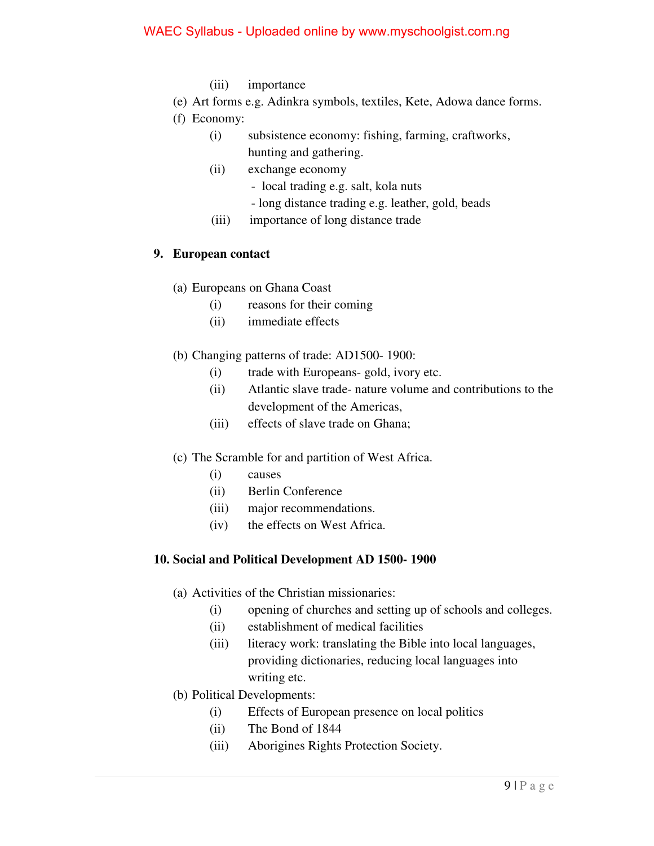## WAEC Syllabus - Uploaded online by www.myschoolgist.com.ng

- (iii) importance
- (e) Art forms e.g. Adinkra symbols, textiles, Kete, Adowa dance forms.
- (f) Economy:
	- (i) subsistence economy: fishing, farming, craftworks, hunting and gathering.
	- (ii) exchange economy
		- local trading e.g. salt, kola nuts
		- long distance trading e.g. leather, gold, beads
	- (iii) importance of long distance trade

## **9. European contact**

- (a) Europeans on Ghana Coast
	- (i) reasons for their coming
	- (ii) immediate effects
- (b) Changing patterns of trade: AD1500- 1900:
	- (i) trade with Europeans- gold, ivory etc.
	- (ii) Atlantic slave trade- nature volume and contributions to the development of the Americas,
	- (iii) effects of slave trade on Ghana;
- (c) The Scramble for and partition of West Africa.
	- (i) causes
	- (ii) Berlin Conference
	- (iii) major recommendations.
	- (iv) the effects on West Africa.

## **10. Social and Political Development AD 1500- 1900**

- (a) Activities of the Christian missionaries:
	- (i) opening of churches and setting up of schools and colleges.
	- (ii) establishment of medical facilities
	- (iii) literacy work: translating the Bible into local languages, providing dictionaries, reducing local languages into writing etc.
- (b) Political Developments:
	- (i) Effects of European presence on local politics
	- (ii) The Bond of 1844
	- (iii) Aborigines Rights Protection Society.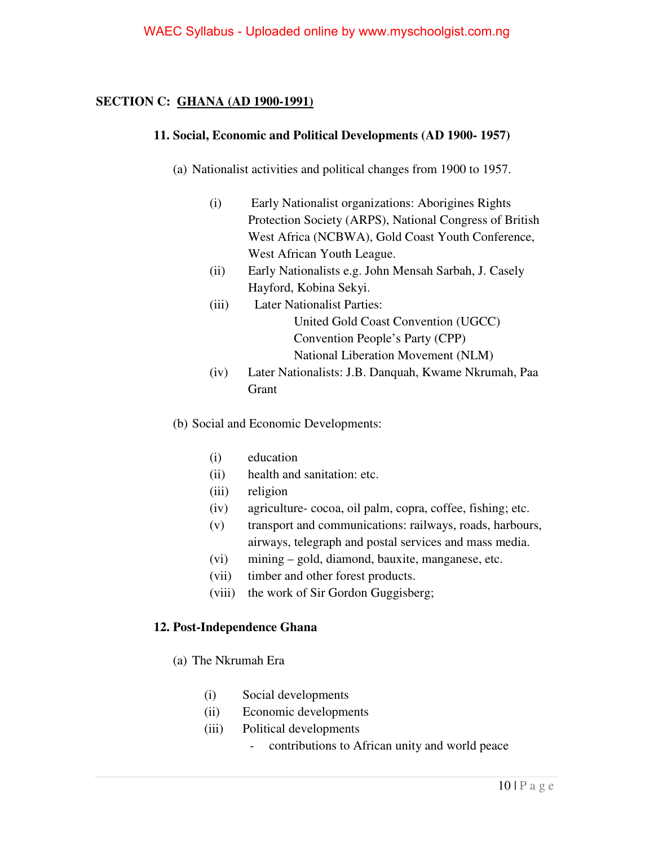## **SECTION C: GHANA (AD 1900-1991)**

## **11. Social, Economic and Political Developments (AD 1900- 1957)**

- (a) Nationalist activities and political changes from 1900 to 1957.
	- (i) Early Nationalist organizations: Aborigines Rights Protection Society (ARPS), National Congress of British West Africa (NCBWA), Gold Coast Youth Conference, West African Youth League.
	- (ii) Early Nationalists e.g. John Mensah Sarbah, J. Casely Hayford, Kobina Sekyi.
	- (iii) Later Nationalist Parties: United Gold Coast Convention (UGCC) Convention People's Party (CPP) National Liberation Movement (NLM)
	- (iv) Later Nationalists: J.B. Danquah, Kwame Nkrumah, Paa **Grant**
- (b) Social and Economic Developments:
	- (i) education
	- (ii) health and sanitation: etc.
	- (iii) religion
	- (iv) agriculture- cocoa, oil palm, copra, coffee, fishing; etc.
	- (v) transport and communications: railways, roads, harbours, airways, telegraph and postal services and mass media.
	- (vi) mining gold, diamond, bauxite, manganese, etc.
	- (vii) timber and other forest products.
	- (viii) the work of Sir Gordon Guggisberg;

## **12. Post-Independence Ghana**

- (a) The Nkrumah Era
	- (i) Social developments
	- (ii) Economic developments
	- (iii) Political developments
		- contributions to African unity and world peace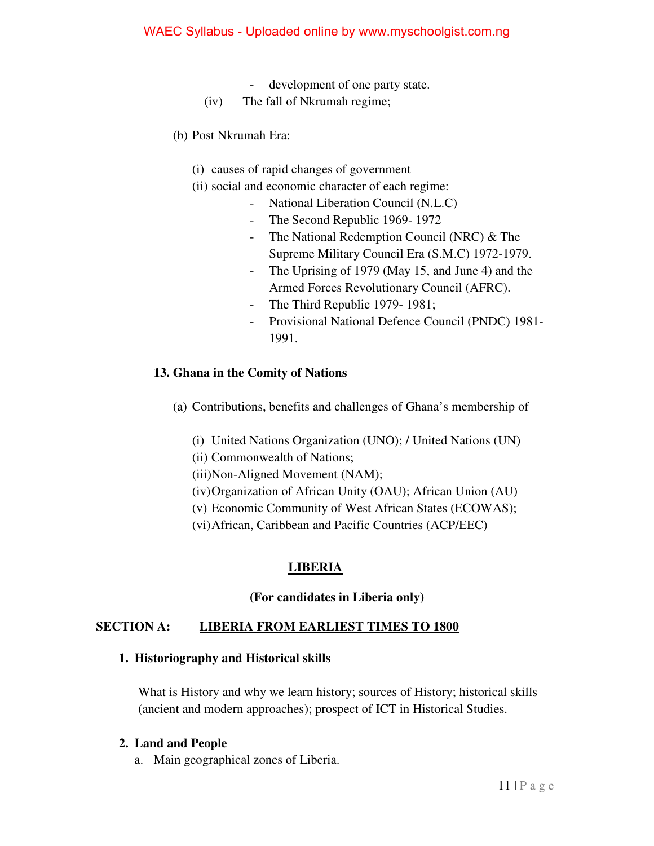#### WAEC Syllabus - Uploaded online by www.myschoolgist.com.ng

- development of one party state.
- (iv) The fall of Nkrumah regime;
- (b) Post Nkrumah Era:
	- (i) causes of rapid changes of government
	- (ii) social and economic character of each regime:
		- National Liberation Council (N.L.C)
		- The Second Republic 1969- 1972
		- The National Redemption Council (NRC) & The Supreme Military Council Era (S.M.C) 1972-1979.
		- The Uprising of 1979 (May 15, and June 4) and the Armed Forces Revolutionary Council (AFRC).
		- The Third Republic 1979- 1981;
		- Provisional National Defence Council (PNDC) 1981- 1991.

#### **13. Ghana in the Comity of Nations**

- (a) Contributions, benefits and challenges of Ghana's membership of
	- (i) United Nations Organization (UNO); / United Nations (UN)
	- (ii) Commonwealth of Nations;
	- (iii)Non-Aligned Movement (NAM);
	- (iv)Organization of African Unity (OAU); African Union (AU)
	- (v) Economic Community of West African States (ECOWAS);
	- (vi)African, Caribbean and Pacific Countries (ACP/EEC)

## **LIBERIA**

#### **(For candidates in Liberia only)**

## **SECTION A: LIBERIA FROM EARLIEST TIMES TO 1800**

#### **1. Historiography and Historical skills**

What is History and why we learn history; sources of History; historical skills (ancient and modern approaches); prospect of ICT in Historical Studies.

#### **2. Land and People**

a. Main geographical zones of Liberia.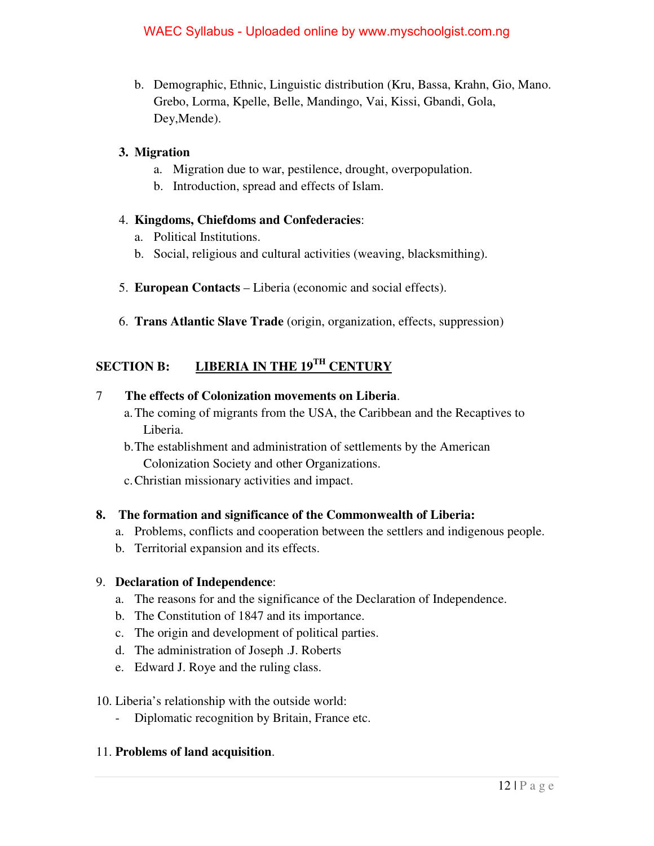b. Demographic, Ethnic, Linguistic distribution (Kru, Bassa, Krahn, Gio, Mano. Grebo, Lorma, Kpelle, Belle, Mandingo, Vai, Kissi, Gbandi, Gola, Dey,Mende).

## **3. Migration**

- a. Migration due to war, pestilence, drought, overpopulation.
- b. Introduction, spread and effects of Islam.

## 4. **Kingdoms, Chiefdoms and Confederacies**:

- a. Political Institutions.
- b. Social, religious and cultural activities (weaving, blacksmithing).
- 5. **European Contacts** Liberia (economic and social effects).
- 6. **Trans Atlantic Slave Trade** (origin, organization, effects, suppression)

# **SECTION B: LIBERIA IN THE 19TH CENTURY**

## 7 **The effects of Colonization movements on Liberia**.

- a.The coming of migrants from the USA, the Caribbean and the Recaptives to Liberia.
- b.The establishment and administration of settlements by the American Colonization Society and other Organizations.
- c.Christian missionary activities and impact.

## **8. The formation and significance of the Commonwealth of Liberia:**

- a. Problems, conflicts and cooperation between the settlers and indigenous people.
- b. Territorial expansion and its effects.

## 9. **Declaration of Independence**:

- a. The reasons for and the significance of the Declaration of Independence.
- b. The Constitution of 1847 and its importance.
- c. The origin and development of political parties.
- d. The administration of Joseph .J. Roberts
- e. Edward J. Roye and the ruling class.

## 10. Liberia's relationship with the outside world:

- Diplomatic recognition by Britain, France etc.

## 11. **Problems of land acquisition**.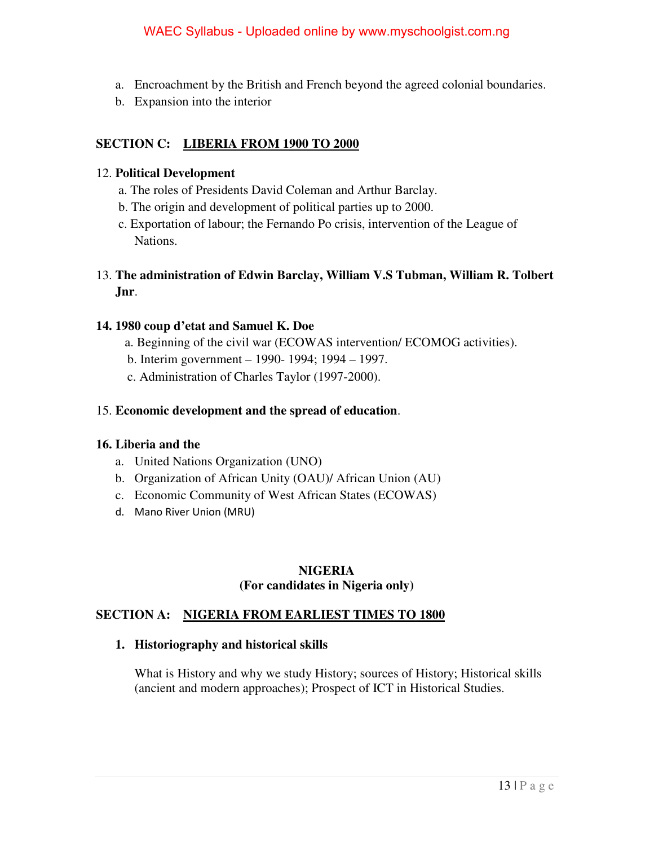- a. Encroachment by the British and French beyond the agreed colonial boundaries.
- b. Expansion into the interior

## **SECTION C: LIBERIA FROM 1900 TO 2000**

## 12. **Political Development**

- a. The roles of Presidents David Coleman and Arthur Barclay.
- b. The origin and development of political parties up to 2000.
- c. Exportation of labour; the Fernando Po crisis, intervention of the League of Nations.
- 13. **The administration of Edwin Barclay, William V.S Tubman, William R. Tolbert Jnr**.

## **14. 1980 coup d'etat and Samuel K. Doe**

- a. Beginning of the civil war (ECOWAS intervention/ ECOMOG activities).
- b. Interim government 1990- 1994; 1994 1997.
- c. Administration of Charles Taylor (1997-2000).

## 15. **Economic development and the spread of education**.

## **16. Liberia and the**

- a. United Nations Organization (UNO)
- b. Organization of African Unity (OAU)/ African Union (AU)
- c. Economic Community of West African States (ECOWAS)
- d. Mano River Union (MRU)

## **NIGERIA (For candidates in Nigeria only)**

## **SECTION A: NIGERIA FROM EARLIEST TIMES TO 1800**

## **1. Historiography and historical skills**

What is History and why we study History; sources of History; Historical skills (ancient and modern approaches); Prospect of ICT in Historical Studies.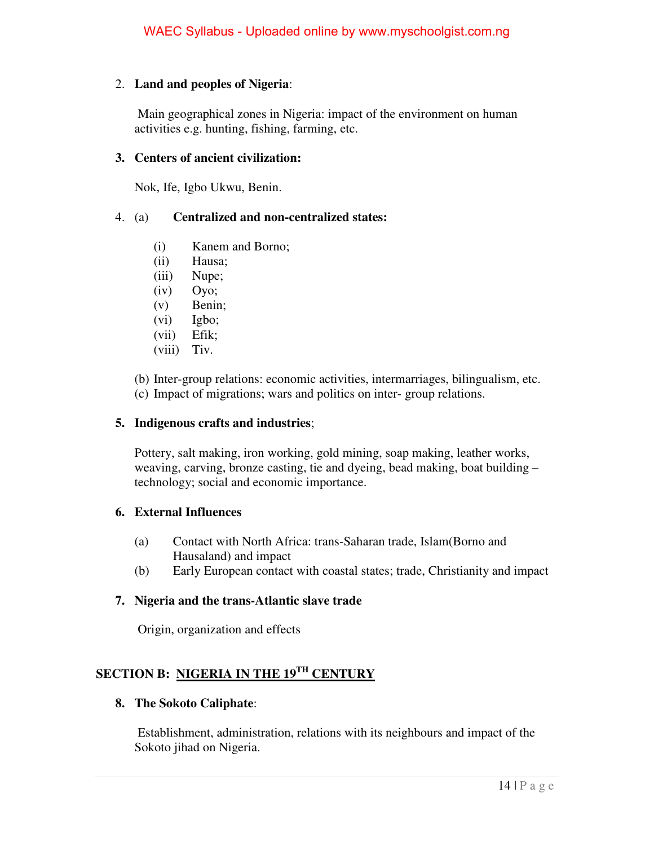## 2. **Land and peoples of Nigeria**:

 Main geographical zones in Nigeria: impact of the environment on human activities e.g. hunting, fishing, farming, etc.

#### **3. Centers of ancient civilization:**

Nok, Ife, Igbo Ukwu, Benin.

## 4. (a) **Centralized and non-centralized states:**

- (i) Kanem and Borno;
- (ii) Hausa;
- (iii) Nupe;
- (iv) Oyo;
- (v) Benin;
- (vi) Igbo;
- (vii) Efik;
- (viii) Tiv.

(b) Inter-group relations: economic activities, intermarriages, bilingualism, etc.

(c) Impact of migrations; wars and politics on inter- group relations.

#### **5. Indigenous crafts and industries**;

Pottery, salt making, iron working, gold mining, soap making, leather works, weaving, carving, bronze casting, tie and dyeing, bead making, boat building – technology; social and economic importance.

## **6. External Influences**

- (a) Contact with North Africa: trans-Saharan trade, Islam(Borno and Hausaland) and impact
- (b) Early European contact with coastal states; trade, Christianity and impact

#### **7. Nigeria and the trans-Atlantic slave trade**

Origin, organization and effects

## **SECTION B: NIGERIA IN THE 19TH CENTURY**

#### **8. The Sokoto Caliphate**:

 Establishment, administration, relations with its neighbours and impact of the Sokoto jihad on Nigeria.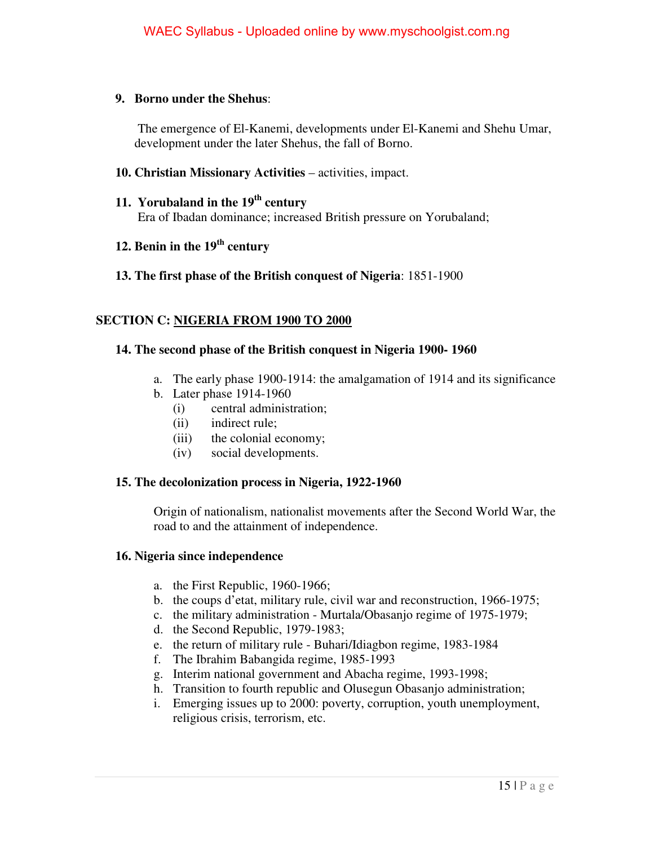#### **9. Borno under the Shehus**:

 The emergence of El-Kanemi, developments under El-Kanemi and Shehu Umar, development under the later Shehus, the fall of Borno.

#### **10. Christian Missionary Activities** – activities, impact.

- **11. Yorubaland in the 19th century** Era of Ibadan dominance; increased British pressure on Yorubaland;
- **12. Benin in the 19th century**
- **13. The first phase of the British conquest of Nigeria**: 1851-1900

## **SECTION C: NIGERIA FROM 1900 TO 2000**

## **14. The second phase of the British conquest in Nigeria 1900- 1960**

- a. The early phase 1900-1914: the amalgamation of 1914 and its significance
- b. Later phase 1914-1960
	- (i) central administration;
	- (ii) indirect rule;
	- (iii) the colonial economy;
	- (iv) social developments.

## **15. The decolonization process in Nigeria, 1922-1960**

Origin of nationalism, nationalist movements after the Second World War, the road to and the attainment of independence.

## **16. Nigeria since independence**

- a. the First Republic, 1960-1966;
- b. the coups d'etat, military rule, civil war and reconstruction, 1966-1975;
- c. the military administration Murtala/Obasanjo regime of 1975-1979;
- d. the Second Republic, 1979-1983;
- e. the return of military rule Buhari/Idiagbon regime, 1983-1984
- f. The Ibrahim Babangida regime, 1985-1993
- g. Interim national government and Abacha regime, 1993-1998;
- h. Transition to fourth republic and Olusegun Obasanjo administration;
- i. Emerging issues up to 2000: poverty, corruption, youth unemployment, religious crisis, terrorism, etc.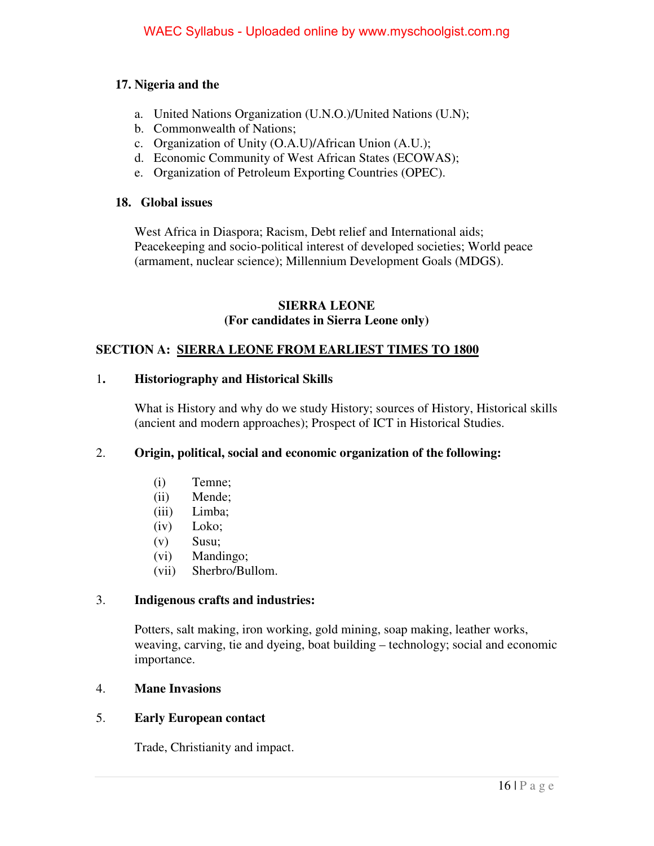## **17. Nigeria and the**

- a. United Nations Organization (U.N.O.)/United Nations (U.N);
- b. Commonwealth of Nations;
- c. Organization of Unity (O.A.U)/African Union (A.U.);
- d. Economic Community of West African States (ECOWAS);
- e. Organization of Petroleum Exporting Countries (OPEC).

## **18. Global issues**

West Africa in Diaspora; Racism, Debt relief and International aids; Peacekeeping and socio-political interest of developed societies; World peace (armament, nuclear science); Millennium Development Goals (MDGS).

#### **SIERRA LEONE (For candidates in Sierra Leone only)**

## **SECTION A: SIERRA LEONE FROM EARLIEST TIMES TO 1800**

#### 1**. Historiography and Historical Skills**

What is History and why do we study History; sources of History, Historical skills (ancient and modern approaches); Prospect of ICT in Historical Studies.

## 2. **Origin, political, social and economic organization of the following:**

- (i) Temne;
- (ii) Mende;
- (iii) Limba;
- (iv) Loko;
- (v) Susu;
- (vi) Mandingo;
- (vii) Sherbro/Bullom.

## 3. **Indigenous crafts and industries:**

Potters, salt making, iron working, gold mining, soap making, leather works, weaving, carving, tie and dyeing, boat building – technology; social and economic importance.

## 4. **Mane Invasions**

## 5. **Early European contact**

Trade, Christianity and impact.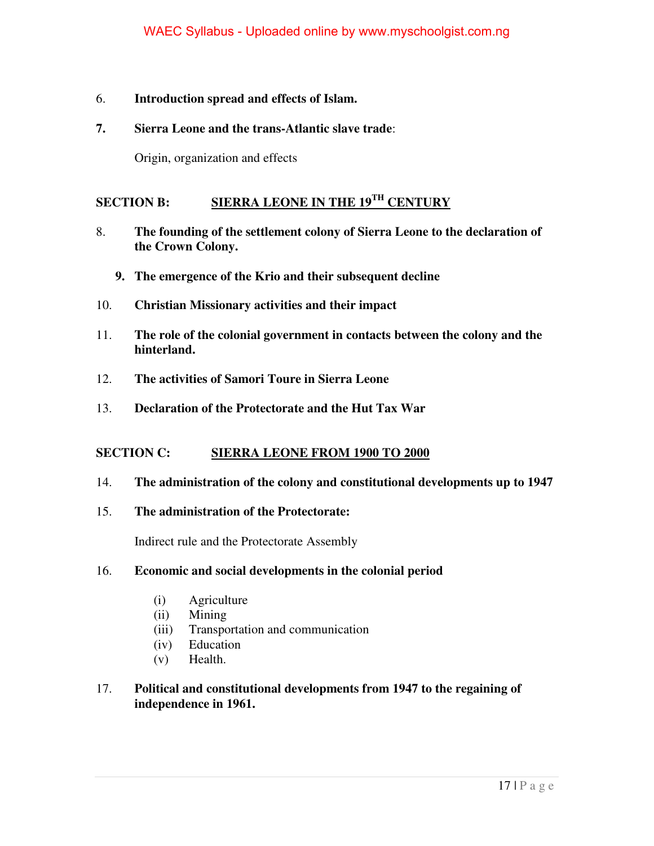## 6. **Introduction spread and effects of Islam.**

## **7. Sierra Leone and the trans-Atlantic slave trade**:

Origin, organization and effects

## **SECTION B: SIERRA LEONE IN THE 19TH CENTURY**

- 8. **The founding of the settlement colony of Sierra Leone to the declaration of the Crown Colony.** 
	- **9. The emergence of the Krio and their subsequent decline**
- 10. **Christian Missionary activities and their impact**
- 11. **The role of the colonial government in contacts between the colony and the hinterland.**
- 12. **The activities of Samori Toure in Sierra Leone**
- 13. **Declaration of the Protectorate and the Hut Tax War**

## **SECTION C: SIERRA LEONE FROM 1900 TO 2000**

## 14. **The administration of the colony and constitutional developments up to 1947**

15. **The administration of the Protectorate:** 

Indirect rule and the Protectorate Assembly

## 16. **Economic and social developments in the colonial period**

- (i) Agriculture
- (ii) Mining
- (iii) Transportation and communication
- (iv) Education
- (v) Health.
- 17. **Political and constitutional developments from 1947 to the regaining of independence in 1961.**